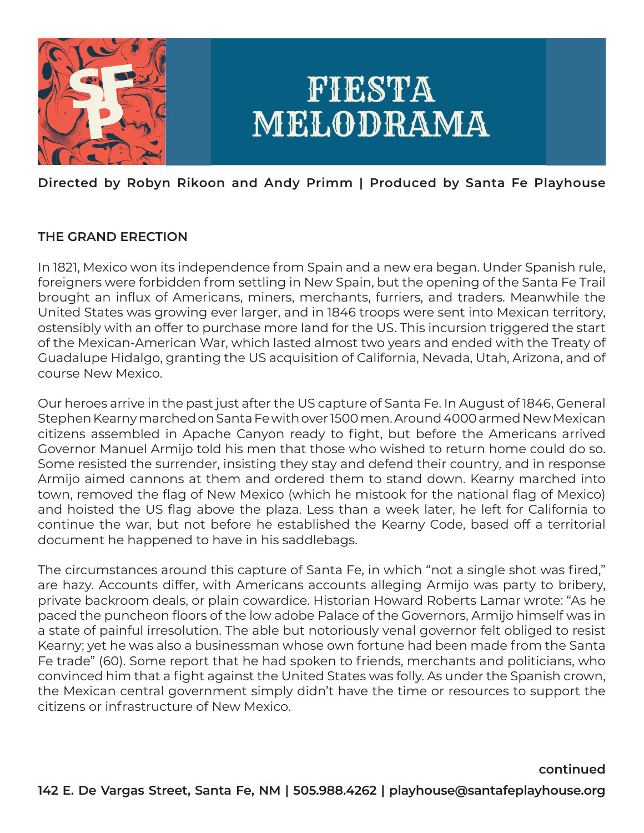

# **Directed by Robyn Rikoon and Andy Primm | Produced by Santa Fe Playhouse**

# **THE GRAND ERECTION**

In 1821, Mexico won its independence from Spain and a new era began. Under Spanish rule, foreigners were forbidden from settling in New Spain, but the opening of the Santa Fe Trail brought an influx of Americans, miners, merchants, furriers, and traders. Meanwhile the United States was growing ever larger, and in 1846 troops were sent into Mexican territory, ostensibly with an offer to purchase more land for the US. This incursion triggered the start of the Mexican-American War, which lasted almost two years and ended with the Treaty of Guadalupe Hidalgo, granting the US acquisition of California, Nevada, Utah, Arizona, and of course New Mexico.

Our heroes arrive in the past just after the US capture of Santa Fe. In August of 1846, General Stephen Kearny marched on Santa Fe with over 1500 men. Around 4000 armed New Mexican citizens assembled in Apache Canyon ready to fight, but before the Americans arrived Governor Manuel Armijo told his men that those who wished to return home could do so. Some resisted the surrender, insisting they stay and defend their country, and in response Armijo aimed cannons at them and ordered them to stand down. Kearny marched into town, removed the flag of New Mexico (which he mistook for the national flag of Mexico) and hoisted the US flag above the plaza. Less than a week later, he left for California to continue the war, but not before he established the Kearny Code, based off a territorial document he happened to have in his saddlebags.

The circumstances around this capture of Santa Fe, in which "not a single shot was fired," are hazy. Accounts differ, with Americans accounts alleging Armijo was party to bribery, private backroom deals, or plain cowardice. Historian Howard Roberts Lamar wrote: "As he paced the puncheon floors of the low adobe Palace of the Governors, Armijo himself was in a state of painful irresolution. The able but notoriously venal governor felt obliged to resist Kearny; yet he was also a businessman whose own fortune had been made from the Santa Fe trade" (60). Some report that he had spoken to friends, merchants and politicians, who convinced him that a fight against the United States was folly. As under the Spanish crown, the Mexican central government simply didn't have the time or resources to support the citizens or infrastructure of New Mexico.

**continued**